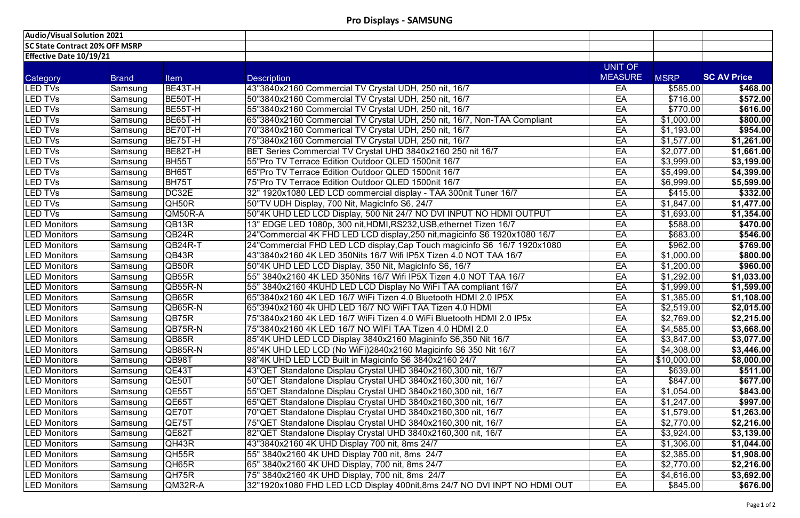| <b>Audio/Visual Solution 2021</b>     |              |                             |                                                                            |                |             |                        |
|---------------------------------------|--------------|-----------------------------|----------------------------------------------------------------------------|----------------|-------------|------------------------|
| <b>SC State Contract 20% OFF MSRP</b> |              |                             |                                                                            |                |             |                        |
| <b>Effective Date 10/19/21</b>        |              |                             |                                                                            |                |             |                        |
|                                       |              |                             |                                                                            | UNIT OF        |             |                        |
| Category                              | <b>Brand</b> | <b>Item</b>                 | <b>Description</b>                                                         | <b>MEASURE</b> | <b>MSRP</b> | <b>SC AV Price</b>     |
| <b>LED TVs</b>                        | Samsung      | BE43T-H                     | 43"3840x2160 Commercial TV Crystal UDH, 250 nit, 16/7                      | EA             | \$585.00    | \$468.00               |
| <b>LED TVs</b>                        | Samsung      | BE50T-H                     | 50"3840x2160 Commercial TV Crystal UDH, 250 nit, 16/7                      | EA             | \$716.00    | \$572.00               |
| <b>LED TVs</b>                        | Samsung      | BE55T-H                     | 55"3840x2160 Commercial TV Crystal UDH, 250 nit, 16/7                      | EA             | \$770.00    | \$616.00               |
| LED TVs                               | Samsung      | BE65T-H                     | 65"3840x2160 Commercial TV Crystal UDH, 250 nit, 16/7, Non-TAA Compliant   | EA             | \$1,000.00  | \$800.00               |
| <b>LED TVs</b>                        | Samsung      | BE70T-H                     | 70"3840x2160 Commerical TV Crystal UDH, 250 nit, 16/7                      | EA             | \$1,193.00  | $\sqrt{$954.00}$       |
| <b>LED TVs</b>                        | Samsung      | BE75T-H                     | 75"3840x2160 Commercial TV Crystal UDH, 250 nit, 16/7                      | EA             | \$1,577.00  | \$1,261.00             |
| LED TVs                               | Samsung      | BE82T-H                     | BET Series Commercial TV Crystal UHD 3840x2160 250 nit 16/7                | EA             | \$2,077.00  | \$1,661.00             |
| <b>LED TVs</b>                        | Samsung      | BH <sub>55</sub> T          | 55"Pro TV Terrace Edition Outdoor QLED 1500nit 16/7                        | EA             | \$3,999.00  | $\overline{33,199.00}$ |
| LED TVs                               | Samsung      | <b>BH65T</b>                | 65"Pro TV Terrace Edition Outdoor QLED 1500nit 16/7                        | EA             | \$5,499.00  | \$4,399.00             |
| <b>LED TVs</b>                        | Samsung      | BH75T                       | 75"Pro TV Terrace Edition Outdoor QLED 1500nit 16/7                        | EA             | \$6,999.00  | \$5,599.00             |
| <b>LED TVs</b>                        | Samsung      | DC32E                       | 32" 1920x1080 LED LCD commercial display - TAA 300nit Tuner 16/7           | EA             | \$415.00    | \$332.00               |
| LED TVs                               | Samsung      | QH50R                       | 50"TV UDH Display, 700 Nit, MagicInfo S6, 24/7                             | EA             | \$1,847.00  | \$1,477.00             |
| <b>LED TVs</b>                        | Samsung      | QM50R-A                     | 50"4K UHD LED LCD Display, 500 Nit 24/7 NO DVI INPUT NO HDMI OUTPUT        | EA             | \$1,693.00  | \$1,354.00             |
| <b>LED Monitors</b>                   | Samsung      | QB13R                       | 13" EDGE LED 1080p, 300 nit, HDMI, RS232, USB, ethernet Tizen 16/7         | EA             | \$588.00    | $\sqrt{470.00}$        |
| <b>LED Monitors</b>                   | Samsung      | QB <sub>24</sub> R          | 24"Commercial 4K FHD LED LCD display, 250 nit, magicinfo S6 1920x1080 16/7 | EA             | \$683.00    | \$546.00               |
| <b>LED Monitors</b>                   | Samsung      | QB24R-T                     | 24"Commercial FHD LED LCD display, Cap Touch magicinfo S6 16/7 1920x1080   | EA             | \$962.00    | \$769.00               |
| <b>LED Monitors</b>                   | Samsung      | QB43R                       | 43"3840x2160 4K LED 350Nits 16/7 Wifi IP5X Tizen 4.0 NOT TAA 16/7          | EA             | \$1,000.00  | \$800.00               |
| <b>LED Monitors</b>                   | Samsung      | QB50R                       | 50"4K UHD LED LCD Display, 350 Nit, MagicInfo S6, 16/7                     | EA             | \$1,200.00  | \$960.00               |
| <b>LED Monitors</b>                   | Samsung      | QB55R                       | 55" 3840x2160 4K LED 350Nits 16/7 Wifi IP5X Tizen 4.0 NOT TAA 16/7         | EA             | \$1,292.00  | \$1,033.00             |
| <b>LED Monitors</b>                   | Samsung      | QB55R-N                     | 55" 3840x2160 4KUHD LED LCD Display No WiFi TAA compliant 16/7             | EA             | \$1,999.00  | \$1,599.00             |
| <b>LED Monitors</b>                   | Samsung      | QB65R                       | 65"3840x2160 4K LED 16/7 WiFi Tizen 4.0 Bluetooth HDMI 2.0 IP5X            | EA             | \$1,385.00  | \$1,108.00             |
| <b>LED Monitors</b>                   | Samsung      | QB65R-N                     |                                                                            | EA             | \$2,519.00  | \$2,015.00             |
| <b>LED Monitors</b>                   | Samsung      | QB75R                       | 75"3840x2160 4K LED 16/7 WiFi Tizen 4.0 WiFi Bluetooth HDMI 2.0 IP5x       | EA             | \$2,769.00  | \$2,215.00             |
| <b>LED Monitors</b>                   | Samsung      | QB75R-N                     |                                                                            | EA             | \$4,585.00  | \$3,668.00             |
| <b>LED Monitors</b>                   | Samsung      | QB85R                       | 85"4K UHD LED LCD Display 3840x2160 Magininfo S6,350 Nit 16/7              | EA             | \$3,847.00  | \$3,077.00             |
| <b>LED Monitors</b>                   | Samsung      | QB85R-N                     | 85"4K UHD LED LCD (No WiFi)2840x2160 Magicinfo S6 350 Nit 16/7             | EA             | \$4,308.00  | \$3,446.00             |
| <b>LED Monitors</b>                   | Samsung      | QB98T                       | 98"4K UHD LED LCD Built in Magicinfo S6 3840x2160 24/7                     | EA             | \$10,000.00 | \$8,000.00             |
| <b>LED Monitors</b>                   | Samsung      | QE43T                       | 43"QET Standalone Displau Crystal UHD 3840x2160,300 nit, 16/7              | EA             | \$639.00    | \$511.00               |
| <b>LED Monitors</b>                   | Samsung      | QE50T                       | 50"QET Standalone Displau Crystal UHD 3840x2160,300 nit, 16/7              | EA             | \$847.00    | \$677.00               |
| <b>LED Monitors</b>                   | Samsung      | QE55T                       | 55"QET Standalone Displau Crystal UHD 3840x2160,300 nit, 16/7              | EA             | \$1,054.00  | \$843.00               |
| <b>LED Monitors</b>                   | Samsung      | QE65T                       | 65"QET Standalone Displau Crystal UHD 3840x2160,300 nit, 16/7              | EA             | \$1,247.00  | \$997.00               |
| <b>LED Monitors</b>                   | Samsung      | QE70T                       | 70"QET Standalone Displau Crystal UHD 3840x2160,300 nit, 16/7              | EA             | \$1,579.00  | \$1,263.00             |
| <b>LED Monitors</b>                   | Samsung      | QE75T                       | 75"QET Standalone Displau Crystal UHD 3840x2160,300 nit, 16/7              | EA             | \$2,770.00  | \$2,216.00             |
| <b>LED Monitors</b>                   | Samsung      | QE82T                       | 82"QET Standalone Display Crystal UHD 3840x2160,300 nit, 16/7              | EA             | \$3,924.00  | \$3,139.00             |
| <b>LED Monitors</b>                   | Samsung      | QH43R                       | 43"3840x2160 4K UHD Display 700 nit, 8ms 24/7                              | EA             | \$1,306.00  | \$1,044.00             |
| <b>LED Monitors</b>                   | Samsung      | $\overline{\textsf{QH55R}}$ | 55" 3840x2160 4K UHD Display 700 nit, 8ms 24/7                             | EA             | \$2,385.00  | \$1,908.00             |
| <b>LED Monitors</b>                   | Samsung      | QH65R                       | 65" 3840x2160 4K UHD Display, 700 nit, 8ms 24/7                            | EA             | \$2,770.00  | \$2,216.00             |
| <b>LED Monitors</b>                   | Samsung      | QH75R                       | 75" 3840x2160 4K UHD Display, 700 nit, 8ms 24/7                            | EA             | \$4,616.00  | \$3,692.00             |
| <b>LED Monitors</b>                   | Samsung      | QM32R-A                     | 32"1920x1080 FHD LED LCD Display 400nit,8ms 24/7 NO DVI INPT NO HDMI OUT   | EA             | \$845.00    | \$676.00               |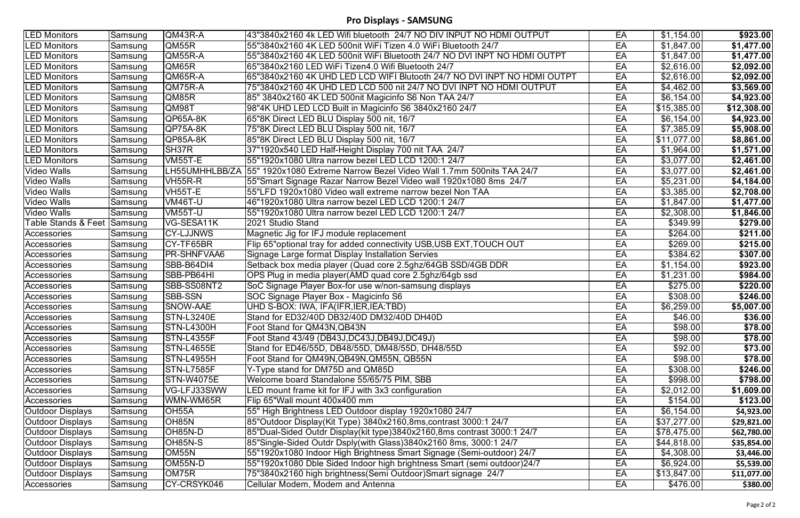## **Pro Displays - SAMSUNG**

| <b>LED Monitors</b><br>QM43R-A<br>EA<br>\$1,154.00<br>43"3840x2160 4k LED Wifi bluetooth 24/7 NO DIV INPUT NO HDMI OUTPUT<br>Samsung<br>EA<br>\$1,847.00<br>Samsung<br>QM55R<br>55"3840x2160 4K LED 500nit WiFi Tizen 4.0 WiFi Bluetooth 24/7<br><b>LED Monitors</b><br>EA<br>QM55R-A<br>55"3840x2160 4K LED 500nit WiFi Bluetooth 24/7 NO DVI INPT NO HDMI OUTPT<br>\$1,847.00<br><b>LED Monitors</b><br>Samsung<br>QM65R<br>65"3840x2160 LED WiFi Tizen4.0 Wifi Bluetooth 24/7<br>EA<br>\$2,616.00<br><b>LED Monitors</b><br>Samsung<br>EA<br>\$2,616.00<br>Samsung<br>QM65R-A<br>65"3840x2160    4K UHD LED LCD WIFI Blutooth    24/7 NO DVI INPT NO HDMI OUTPT<br><b>LED Monitors</b><br>QM75R-A<br>EA<br>\$4,462.00<br><b>LED Monitors</b><br>75"3840x2160 4K UHD LED LCD 500 nit 24/7 NO DVI INPT NO HDMI OUTPUT<br>Samsung<br>85" 3840x2160 4K LED 500nit Magicinfo S6 Non TAA 24/7<br>EA<br>\$6,154.00<br><b>LED Monitors</b><br>QM85R<br>Samsung<br>EA<br>\$15,385.00<br>Samsung<br><b>QM98T</b><br>98"4K UHD LED LCD Built in Magicinfo S6 3840x2160 24/7<br><b>LED Monitors</b><br>EA<br>\$6,154.00<br>QP65A-8K<br>65"8K Direct LED BLU Display 500 nit, 16/7<br>LED Monitors<br>Samsung<br>QP75A-8K<br>75"8K Direct LED BLU Display 500 nit, 16/7<br>EA<br><b>LED Monitors</b><br>\$7,385.09<br>Samsung<br>85"8K Direct LED BLU Display 500 nit, 16/7<br>$\overline{$11,077.00}$<br>Samsung<br>$QQP85A-8K$<br>EA<br><b>LED Monitors</b><br>SH37R<br>EA<br>37"1920x540 LED Half-Height Display 700 nit TAA 24/7<br><b>LED Monitors</b><br>\$1,964.00<br>Samsung<br><b>VM55T-E</b><br>55"1920x1080 Ultra narrow bezel LED LCD 1200:1 24/7<br>EA<br>\$3,077.00<br><b>LED Monitors</b><br>Samsung<br><b>Video Walls</b><br>LH55UMHHLBB/ZA<br>55" 1920x1080 Extreme Narrow Bezel Video Wall 1.7mm 500nits TAA 24/7<br>EA<br>\$3,077.00<br>Samsung<br>\$5,231.00<br>VH55R-R<br>55"Smart Signage Razar Narrow Bezel Video wall 1920x1080 8ms 24/7<br>EA<br>Video Walls<br>Samsung<br><b>Video Walls</b><br>VH55T-E<br>55"LFD 1920x1080 Video wall extreme narrow bezel Non TAA<br>EA<br>\$3,385.00<br>Samsung<br><b>Video Walls</b><br>VM46T-U<br>46"1920x1080 Ultra narrow bezel LED LCD 1200:1 24/7<br>EA<br>\$1,847.00<br>Samsung<br>\$2,308.00<br><b>Video Walls</b><br>VM55T-U<br>55"1920x1080 Ultra narrow bezel LED LCD 1200:1 24/7<br>EA<br>Samsung<br><b>Table Stands &amp; Feet Samsung</b><br>VG-SESA11K<br>EA<br>349.99<br>2021 Studio Stand<br>\$264.00<br><b>CY-LJJNWS</b><br>EA<br>Accessories<br>Magnetic Jig for IFJ module replacement<br>Samsung<br>\$269.00<br>CY-TF65BR<br>Flip 65" optional tray for added connectivity USB, USB EXT, TOUCH OUT<br>EA<br>Samsung<br>Accessories<br>\$384.62<br><b>PR-SHNFVAA6</b><br>Signage Large format Display Installation Servies<br>EA<br>Samsung<br>Accessories<br>SBB-B64DI4<br>Setback box media player (Quad core 2.5ghz/64GB SSD/4GB DDR<br>EA<br>\$1,154.00<br>Samsung<br>Accessories<br>SBB-PB64HI<br>OPS Plug in media player(AMD quad core 2.5ghz/64gb ssd<br>EA<br>\$1,231.00<br>Samsung<br>Accessories<br>SBB-SS08NT2<br>SoC Signage Player Box-for use w/non-samsung displays<br>EA<br>\$275.00<br>Samsung<br>Accessories<br>\$308.00<br><b>SBB-SSN</b><br>SOC Signage Player Box - Magicinfo S6<br>EA<br>Samsung<br>Accessories<br>\$6,259.00<br><b>SNOW-AAE</b><br>UHD S-BOX: IWA, IFA(IFR, IER, IEA: TBD)<br>EA<br>Samsung<br>Accessories<br><b>STN-L3240E</b><br>Stand for ED32/40D DB32/40D DM32/40D DH40D<br>EA<br>\$46.00<br>Samsung<br>\$98.00<br>Samsung<br>EA<br>Accessories<br><b>STN-L4300H</b><br>Foot Stand for QM43N, QB43N<br>STN-L4355F<br>\$98.00<br>Foot Stand 43/49 (DB43J, DC43J, DB49J, DC49J)<br>Samsung<br>EA<br>Accessories<br>Stand for ED46/55D, DB48/55D, DM48/55D, DH48/55D<br>\$92.00<br>Samsung<br><b>STN-L4655E</b><br>EA<br>Accessories<br>\$98.00<br><b>STN-L4955H</b><br>Foot Stand for QM49N, QB49N, QM55N, QB55N<br>EA<br>Samsung<br>Accessories<br>\$308.00<br>STN-L7585F<br>Y-Type stand for DM75D and QM85D<br>EA<br>Samsung<br>Accessories<br><b>STN-W4075E</b><br>Welcome board Standalone 55/65/75 PIM, SBB<br>EA<br>\$998.00<br>∣Samsung<br>Accessories<br>VG-LFJ33SWW<br>\$2,012.00<br>LED mount frame kit for IFJ with 3x3 configuration<br>EA<br>Samsung<br>Accessories<br>WMN-WM65R<br>\$154.00<br>Flip 65"Wall mount 400x400 mm<br>EA<br>Samsung<br>Accessories<br>\$6,154.00<br>OH55A<br>55" High Brightness LED Outdoor display 1920x1080 24/7<br>EA<br>Samsung<br>Outdoor Displays<br>OH85N<br>85"Outdoor Display(Kit Type) 3840x2160,8ms,contrast 3000:1 24/7<br>\$37,277.00<br><b>Outdoor Displays</b><br>Samsung<br>EA<br>OH85N-D<br>\$78,475.00<br>85"Dual-Sided Outdr Display(kit type)3840x2160,8ms contrast 3000:1 24/7<br>EA<br>Outdoor Displays<br>Samsung<br>OH85N-S<br>85"Single-Sided Outdr Dsply(with Glass)3840x2160 8ms, 3000:1 24/7<br>EA<br>\$44,818.00<br>Outdoor Displays<br>Samsung<br>OM <sub>55N</sub><br>55"1920x1080 Indoor High Brightness Smart Signage (Semi-outdoor) 24/7<br>EA<br>\$4,308.00<br>Outdoor Displays<br>Samsung<br>OM55N-D<br>55"1920x1080 Dble Sided Indoor high brightness Smart (semi outdoor) 24/7<br>\$6,924.00<br>EA<br>Outdoor Displays<br>Samsung<br>OM75R<br>75"3840x2160 high brightness (Semi Outdoor) Smart signage 24/7<br>EA<br>\$13,847.00<br><b>Outdoor Displays</b><br>Samsung<br>CY-CRSYK046<br>Cellular Modem, Modem and Antenna<br>\$476.00<br>EA<br>Samsung<br>Accessories |  |  |  |                        |
|---------------------------------------------------------------------------------------------------------------------------------------------------------------------------------------------------------------------------------------------------------------------------------------------------------------------------------------------------------------------------------------------------------------------------------------------------------------------------------------------------------------------------------------------------------------------------------------------------------------------------------------------------------------------------------------------------------------------------------------------------------------------------------------------------------------------------------------------------------------------------------------------------------------------------------------------------------------------------------------------------------------------------------------------------------------------------------------------------------------------------------------------------------------------------------------------------------------------------------------------------------------------------------------------------------------------------------------------------------------------------------------------------------------------------------------------------------------------------------------------------------------------------------------------------------------------------------------------------------------------------------------------------------------------------------------------------------------------------------------------------------------------------------------------------------------------------------------------------------------------------------------------------------------------------------------------------------------------------------------------------------------------------------------------------------------------------------------------------------------------------------------------------------------------------------------------------------------------------------------------------------------------------------------------------------------------------------------------------------------------------------------------------------------------------------------------------------------------------------------------------------------------------------------------------------------------------------------------------------------------------------------------------------------------------------------------------------------------------------------------------------------------------------------------------------------------------------------------------------------------------------------------------------------------------------------------------------------------------------------------------------------------------------------------------------------------------------------------------------------------------------------------------------------------------------------------------------------------------------------------------------------------------------------------------------------------------------------------------------------------------------------------------------------------------------------------------------------------------------------------------------------------------------------------------------------------------------------------------------------------------------------------------------------------------------------------------------------------------------------------------------------------------------------------------------------------------------------------------------------------------------------------------------------------------------------------------------------------------------------------------------------------------------------------------------------------------------------------------------------------------------------------------------------------------------------------------------------------------------------------------------------------------------------------------------------------------------------------------------------------------------------------------------------------------------------------------------------------------------------------------------------------------------------------------------------------------------------------------------------------------------------------------------------------------------------------------------------------------------------------------------------------------------------------------------------------------------------------------------------------------------------------------------------------------------------------------------------------------------------------------------------------------------------------------------------------------------------------------------------------------------------------------------------------------------------------------------------------------------------------------------------------------------------------------------------------------------------------------------------------------------------------------------------------------------------------------------------------------|--|--|--|------------------------|
|                                                                                                                                                                                                                                                                                                                                                                                                                                                                                                                                                                                                                                                                                                                                                                                                                                                                                                                                                                                                                                                                                                                                                                                                                                                                                                                                                                                                                                                                                                                                                                                                                                                                                                                                                                                                                                                                                                                                                                                                                                                                                                                                                                                                                                                                                                                                                                                                                                                                                                                                                                                                                                                                                                                                                                                                                                                                                                                                                                                                                                                                                                                                                                                                                                                                                                                                                                                                                                                                                                                                                                                                                                                                                                                                                                                                                                                                                                                                                                                                                                                                                                                                                                                                                                                                                                                                                                                                                                                                                                                                                                                                                                                                                                                                                                                                                                                                                                                                                                                                                                                                                                                                                                                                                                                                                                                                                                                                                                                                           |  |  |  | \$923.00               |
|                                                                                                                                                                                                                                                                                                                                                                                                                                                                                                                                                                                                                                                                                                                                                                                                                                                                                                                                                                                                                                                                                                                                                                                                                                                                                                                                                                                                                                                                                                                                                                                                                                                                                                                                                                                                                                                                                                                                                                                                                                                                                                                                                                                                                                                                                                                                                                                                                                                                                                                                                                                                                                                                                                                                                                                                                                                                                                                                                                                                                                                                                                                                                                                                                                                                                                                                                                                                                                                                                                                                                                                                                                                                                                                                                                                                                                                                                                                                                                                                                                                                                                                                                                                                                                                                                                                                                                                                                                                                                                                                                                                                                                                                                                                                                                                                                                                                                                                                                                                                                                                                                                                                                                                                                                                                                                                                                                                                                                                                           |  |  |  | \$1,477.00             |
|                                                                                                                                                                                                                                                                                                                                                                                                                                                                                                                                                                                                                                                                                                                                                                                                                                                                                                                                                                                                                                                                                                                                                                                                                                                                                                                                                                                                                                                                                                                                                                                                                                                                                                                                                                                                                                                                                                                                                                                                                                                                                                                                                                                                                                                                                                                                                                                                                                                                                                                                                                                                                                                                                                                                                                                                                                                                                                                                                                                                                                                                                                                                                                                                                                                                                                                                                                                                                                                                                                                                                                                                                                                                                                                                                                                                                                                                                                                                                                                                                                                                                                                                                                                                                                                                                                                                                                                                                                                                                                                                                                                                                                                                                                                                                                                                                                                                                                                                                                                                                                                                                                                                                                                                                                                                                                                                                                                                                                                                           |  |  |  | \$1,477.00             |
| Accessories                                                                                                                                                                                                                                                                                                                                                                                                                                                                                                                                                                                                                                                                                                                                                                                                                                                                                                                                                                                                                                                                                                                                                                                                                                                                                                                                                                                                                                                                                                                                                                                                                                                                                                                                                                                                                                                                                                                                                                                                                                                                                                                                                                                                                                                                                                                                                                                                                                                                                                                                                                                                                                                                                                                                                                                                                                                                                                                                                                                                                                                                                                                                                                                                                                                                                                                                                                                                                                                                                                                                                                                                                                                                                                                                                                                                                                                                                                                                                                                                                                                                                                                                                                                                                                                                                                                                                                                                                                                                                                                                                                                                                                                                                                                                                                                                                                                                                                                                                                                                                                                                                                                                                                                                                                                                                                                                                                                                                                                               |  |  |  | \$2,092.00             |
|                                                                                                                                                                                                                                                                                                                                                                                                                                                                                                                                                                                                                                                                                                                                                                                                                                                                                                                                                                                                                                                                                                                                                                                                                                                                                                                                                                                                                                                                                                                                                                                                                                                                                                                                                                                                                                                                                                                                                                                                                                                                                                                                                                                                                                                                                                                                                                                                                                                                                                                                                                                                                                                                                                                                                                                                                                                                                                                                                                                                                                                                                                                                                                                                                                                                                                                                                                                                                                                                                                                                                                                                                                                                                                                                                                                                                                                                                                                                                                                                                                                                                                                                                                                                                                                                                                                                                                                                                                                                                                                                                                                                                                                                                                                                                                                                                                                                                                                                                                                                                                                                                                                                                                                                                                                                                                                                                                                                                                                                           |  |  |  | \$2,092.00             |
|                                                                                                                                                                                                                                                                                                                                                                                                                                                                                                                                                                                                                                                                                                                                                                                                                                                                                                                                                                                                                                                                                                                                                                                                                                                                                                                                                                                                                                                                                                                                                                                                                                                                                                                                                                                                                                                                                                                                                                                                                                                                                                                                                                                                                                                                                                                                                                                                                                                                                                                                                                                                                                                                                                                                                                                                                                                                                                                                                                                                                                                                                                                                                                                                                                                                                                                                                                                                                                                                                                                                                                                                                                                                                                                                                                                                                                                                                                                                                                                                                                                                                                                                                                                                                                                                                                                                                                                                                                                                                                                                                                                                                                                                                                                                                                                                                                                                                                                                                                                                                                                                                                                                                                                                                                                                                                                                                                                                                                                                           |  |  |  | \$3,569.00             |
|                                                                                                                                                                                                                                                                                                                                                                                                                                                                                                                                                                                                                                                                                                                                                                                                                                                                                                                                                                                                                                                                                                                                                                                                                                                                                                                                                                                                                                                                                                                                                                                                                                                                                                                                                                                                                                                                                                                                                                                                                                                                                                                                                                                                                                                                                                                                                                                                                                                                                                                                                                                                                                                                                                                                                                                                                                                                                                                                                                                                                                                                                                                                                                                                                                                                                                                                                                                                                                                                                                                                                                                                                                                                                                                                                                                                                                                                                                                                                                                                                                                                                                                                                                                                                                                                                                                                                                                                                                                                                                                                                                                                                                                                                                                                                                                                                                                                                                                                                                                                                                                                                                                                                                                                                                                                                                                                                                                                                                                                           |  |  |  | \$4,923.00             |
|                                                                                                                                                                                                                                                                                                                                                                                                                                                                                                                                                                                                                                                                                                                                                                                                                                                                                                                                                                                                                                                                                                                                                                                                                                                                                                                                                                                                                                                                                                                                                                                                                                                                                                                                                                                                                                                                                                                                                                                                                                                                                                                                                                                                                                                                                                                                                                                                                                                                                                                                                                                                                                                                                                                                                                                                                                                                                                                                                                                                                                                                                                                                                                                                                                                                                                                                                                                                                                                                                                                                                                                                                                                                                                                                                                                                                                                                                                                                                                                                                                                                                                                                                                                                                                                                                                                                                                                                                                                                                                                                                                                                                                                                                                                                                                                                                                                                                                                                                                                                                                                                                                                                                                                                                                                                                                                                                                                                                                                                           |  |  |  | \$12,308.00            |
|                                                                                                                                                                                                                                                                                                                                                                                                                                                                                                                                                                                                                                                                                                                                                                                                                                                                                                                                                                                                                                                                                                                                                                                                                                                                                                                                                                                                                                                                                                                                                                                                                                                                                                                                                                                                                                                                                                                                                                                                                                                                                                                                                                                                                                                                                                                                                                                                                                                                                                                                                                                                                                                                                                                                                                                                                                                                                                                                                                                                                                                                                                                                                                                                                                                                                                                                                                                                                                                                                                                                                                                                                                                                                                                                                                                                                                                                                                                                                                                                                                                                                                                                                                                                                                                                                                                                                                                                                                                                                                                                                                                                                                                                                                                                                                                                                                                                                                                                                                                                                                                                                                                                                                                                                                                                                                                                                                                                                                                                           |  |  |  | \$4,923.00             |
|                                                                                                                                                                                                                                                                                                                                                                                                                                                                                                                                                                                                                                                                                                                                                                                                                                                                                                                                                                                                                                                                                                                                                                                                                                                                                                                                                                                                                                                                                                                                                                                                                                                                                                                                                                                                                                                                                                                                                                                                                                                                                                                                                                                                                                                                                                                                                                                                                                                                                                                                                                                                                                                                                                                                                                                                                                                                                                                                                                                                                                                                                                                                                                                                                                                                                                                                                                                                                                                                                                                                                                                                                                                                                                                                                                                                                                                                                                                                                                                                                                                                                                                                                                                                                                                                                                                                                                                                                                                                                                                                                                                                                                                                                                                                                                                                                                                                                                                                                                                                                                                                                                                                                                                                                                                                                                                                                                                                                                                                           |  |  |  | \$5,908.00             |
|                                                                                                                                                                                                                                                                                                                                                                                                                                                                                                                                                                                                                                                                                                                                                                                                                                                                                                                                                                                                                                                                                                                                                                                                                                                                                                                                                                                                                                                                                                                                                                                                                                                                                                                                                                                                                                                                                                                                                                                                                                                                                                                                                                                                                                                                                                                                                                                                                                                                                                                                                                                                                                                                                                                                                                                                                                                                                                                                                                                                                                                                                                                                                                                                                                                                                                                                                                                                                                                                                                                                                                                                                                                                                                                                                                                                                                                                                                                                                                                                                                                                                                                                                                                                                                                                                                                                                                                                                                                                                                                                                                                                                                                                                                                                                                                                                                                                                                                                                                                                                                                                                                                                                                                                                                                                                                                                                                                                                                                                           |  |  |  | \$8,861.00             |
|                                                                                                                                                                                                                                                                                                                                                                                                                                                                                                                                                                                                                                                                                                                                                                                                                                                                                                                                                                                                                                                                                                                                                                                                                                                                                                                                                                                                                                                                                                                                                                                                                                                                                                                                                                                                                                                                                                                                                                                                                                                                                                                                                                                                                                                                                                                                                                                                                                                                                                                                                                                                                                                                                                                                                                                                                                                                                                                                                                                                                                                                                                                                                                                                                                                                                                                                                                                                                                                                                                                                                                                                                                                                                                                                                                                                                                                                                                                                                                                                                                                                                                                                                                                                                                                                                                                                                                                                                                                                                                                                                                                                                                                                                                                                                                                                                                                                                                                                                                                                                                                                                                                                                                                                                                                                                                                                                                                                                                                                           |  |  |  | \$1,571.00             |
|                                                                                                                                                                                                                                                                                                                                                                                                                                                                                                                                                                                                                                                                                                                                                                                                                                                                                                                                                                                                                                                                                                                                                                                                                                                                                                                                                                                                                                                                                                                                                                                                                                                                                                                                                                                                                                                                                                                                                                                                                                                                                                                                                                                                                                                                                                                                                                                                                                                                                                                                                                                                                                                                                                                                                                                                                                                                                                                                                                                                                                                                                                                                                                                                                                                                                                                                                                                                                                                                                                                                                                                                                                                                                                                                                                                                                                                                                                                                                                                                                                                                                                                                                                                                                                                                                                                                                                                                                                                                                                                                                                                                                                                                                                                                                                                                                                                                                                                                                                                                                                                                                                                                                                                                                                                                                                                                                                                                                                                                           |  |  |  | \$2,461.00             |
|                                                                                                                                                                                                                                                                                                                                                                                                                                                                                                                                                                                                                                                                                                                                                                                                                                                                                                                                                                                                                                                                                                                                                                                                                                                                                                                                                                                                                                                                                                                                                                                                                                                                                                                                                                                                                                                                                                                                                                                                                                                                                                                                                                                                                                                                                                                                                                                                                                                                                                                                                                                                                                                                                                                                                                                                                                                                                                                                                                                                                                                                                                                                                                                                                                                                                                                                                                                                                                                                                                                                                                                                                                                                                                                                                                                                                                                                                                                                                                                                                                                                                                                                                                                                                                                                                                                                                                                                                                                                                                                                                                                                                                                                                                                                                                                                                                                                                                                                                                                                                                                                                                                                                                                                                                                                                                                                                                                                                                                                           |  |  |  | \$2,461.00             |
|                                                                                                                                                                                                                                                                                                                                                                                                                                                                                                                                                                                                                                                                                                                                                                                                                                                                                                                                                                                                                                                                                                                                                                                                                                                                                                                                                                                                                                                                                                                                                                                                                                                                                                                                                                                                                                                                                                                                                                                                                                                                                                                                                                                                                                                                                                                                                                                                                                                                                                                                                                                                                                                                                                                                                                                                                                                                                                                                                                                                                                                                                                                                                                                                                                                                                                                                                                                                                                                                                                                                                                                                                                                                                                                                                                                                                                                                                                                                                                                                                                                                                                                                                                                                                                                                                                                                                                                                                                                                                                                                                                                                                                                                                                                                                                                                                                                                                                                                                                                                                                                                                                                                                                                                                                                                                                                                                                                                                                                                           |  |  |  | \$4,184.00             |
|                                                                                                                                                                                                                                                                                                                                                                                                                                                                                                                                                                                                                                                                                                                                                                                                                                                                                                                                                                                                                                                                                                                                                                                                                                                                                                                                                                                                                                                                                                                                                                                                                                                                                                                                                                                                                                                                                                                                                                                                                                                                                                                                                                                                                                                                                                                                                                                                                                                                                                                                                                                                                                                                                                                                                                                                                                                                                                                                                                                                                                                                                                                                                                                                                                                                                                                                                                                                                                                                                                                                                                                                                                                                                                                                                                                                                                                                                                                                                                                                                                                                                                                                                                                                                                                                                                                                                                                                                                                                                                                                                                                                                                                                                                                                                                                                                                                                                                                                                                                                                                                                                                                                                                                                                                                                                                                                                                                                                                                                           |  |  |  | $\overline{$}2,708.00$ |
|                                                                                                                                                                                                                                                                                                                                                                                                                                                                                                                                                                                                                                                                                                                                                                                                                                                                                                                                                                                                                                                                                                                                                                                                                                                                                                                                                                                                                                                                                                                                                                                                                                                                                                                                                                                                                                                                                                                                                                                                                                                                                                                                                                                                                                                                                                                                                                                                                                                                                                                                                                                                                                                                                                                                                                                                                                                                                                                                                                                                                                                                                                                                                                                                                                                                                                                                                                                                                                                                                                                                                                                                                                                                                                                                                                                                                                                                                                                                                                                                                                                                                                                                                                                                                                                                                                                                                                                                                                                                                                                                                                                                                                                                                                                                                                                                                                                                                                                                                                                                                                                                                                                                                                                                                                                                                                                                                                                                                                                                           |  |  |  | \$1,477.00             |
|                                                                                                                                                                                                                                                                                                                                                                                                                                                                                                                                                                                                                                                                                                                                                                                                                                                                                                                                                                                                                                                                                                                                                                                                                                                                                                                                                                                                                                                                                                                                                                                                                                                                                                                                                                                                                                                                                                                                                                                                                                                                                                                                                                                                                                                                                                                                                                                                                                                                                                                                                                                                                                                                                                                                                                                                                                                                                                                                                                                                                                                                                                                                                                                                                                                                                                                                                                                                                                                                                                                                                                                                                                                                                                                                                                                                                                                                                                                                                                                                                                                                                                                                                                                                                                                                                                                                                                                                                                                                                                                                                                                                                                                                                                                                                                                                                                                                                                                                                                                                                                                                                                                                                                                                                                                                                                                                                                                                                                                                           |  |  |  | \$1,846.00             |
|                                                                                                                                                                                                                                                                                                                                                                                                                                                                                                                                                                                                                                                                                                                                                                                                                                                                                                                                                                                                                                                                                                                                                                                                                                                                                                                                                                                                                                                                                                                                                                                                                                                                                                                                                                                                                                                                                                                                                                                                                                                                                                                                                                                                                                                                                                                                                                                                                                                                                                                                                                                                                                                                                                                                                                                                                                                                                                                                                                                                                                                                                                                                                                                                                                                                                                                                                                                                                                                                                                                                                                                                                                                                                                                                                                                                                                                                                                                                                                                                                                                                                                                                                                                                                                                                                                                                                                                                                                                                                                                                                                                                                                                                                                                                                                                                                                                                                                                                                                                                                                                                                                                                                                                                                                                                                                                                                                                                                                                                           |  |  |  | \$279.00               |
|                                                                                                                                                                                                                                                                                                                                                                                                                                                                                                                                                                                                                                                                                                                                                                                                                                                                                                                                                                                                                                                                                                                                                                                                                                                                                                                                                                                                                                                                                                                                                                                                                                                                                                                                                                                                                                                                                                                                                                                                                                                                                                                                                                                                                                                                                                                                                                                                                                                                                                                                                                                                                                                                                                                                                                                                                                                                                                                                                                                                                                                                                                                                                                                                                                                                                                                                                                                                                                                                                                                                                                                                                                                                                                                                                                                                                                                                                                                                                                                                                                                                                                                                                                                                                                                                                                                                                                                                                                                                                                                                                                                                                                                                                                                                                                                                                                                                                                                                                                                                                                                                                                                                                                                                                                                                                                                                                                                                                                                                           |  |  |  | \$211.00               |
|                                                                                                                                                                                                                                                                                                                                                                                                                                                                                                                                                                                                                                                                                                                                                                                                                                                                                                                                                                                                                                                                                                                                                                                                                                                                                                                                                                                                                                                                                                                                                                                                                                                                                                                                                                                                                                                                                                                                                                                                                                                                                                                                                                                                                                                                                                                                                                                                                                                                                                                                                                                                                                                                                                                                                                                                                                                                                                                                                                                                                                                                                                                                                                                                                                                                                                                                                                                                                                                                                                                                                                                                                                                                                                                                                                                                                                                                                                                                                                                                                                                                                                                                                                                                                                                                                                                                                                                                                                                                                                                                                                                                                                                                                                                                                                                                                                                                                                                                                                                                                                                                                                                                                                                                                                                                                                                                                                                                                                                                           |  |  |  | \$215.00               |
|                                                                                                                                                                                                                                                                                                                                                                                                                                                                                                                                                                                                                                                                                                                                                                                                                                                                                                                                                                                                                                                                                                                                                                                                                                                                                                                                                                                                                                                                                                                                                                                                                                                                                                                                                                                                                                                                                                                                                                                                                                                                                                                                                                                                                                                                                                                                                                                                                                                                                                                                                                                                                                                                                                                                                                                                                                                                                                                                                                                                                                                                                                                                                                                                                                                                                                                                                                                                                                                                                                                                                                                                                                                                                                                                                                                                                                                                                                                                                                                                                                                                                                                                                                                                                                                                                                                                                                                                                                                                                                                                                                                                                                                                                                                                                                                                                                                                                                                                                                                                                                                                                                                                                                                                                                                                                                                                                                                                                                                                           |  |  |  | \$307.00               |
|                                                                                                                                                                                                                                                                                                                                                                                                                                                                                                                                                                                                                                                                                                                                                                                                                                                                                                                                                                                                                                                                                                                                                                                                                                                                                                                                                                                                                                                                                                                                                                                                                                                                                                                                                                                                                                                                                                                                                                                                                                                                                                                                                                                                                                                                                                                                                                                                                                                                                                                                                                                                                                                                                                                                                                                                                                                                                                                                                                                                                                                                                                                                                                                                                                                                                                                                                                                                                                                                                                                                                                                                                                                                                                                                                                                                                                                                                                                                                                                                                                                                                                                                                                                                                                                                                                                                                                                                                                                                                                                                                                                                                                                                                                                                                                                                                                                                                                                                                                                                                                                                                                                                                                                                                                                                                                                                                                                                                                                                           |  |  |  | \$923.00               |
|                                                                                                                                                                                                                                                                                                                                                                                                                                                                                                                                                                                                                                                                                                                                                                                                                                                                                                                                                                                                                                                                                                                                                                                                                                                                                                                                                                                                                                                                                                                                                                                                                                                                                                                                                                                                                                                                                                                                                                                                                                                                                                                                                                                                                                                                                                                                                                                                                                                                                                                                                                                                                                                                                                                                                                                                                                                                                                                                                                                                                                                                                                                                                                                                                                                                                                                                                                                                                                                                                                                                                                                                                                                                                                                                                                                                                                                                                                                                                                                                                                                                                                                                                                                                                                                                                                                                                                                                                                                                                                                                                                                                                                                                                                                                                                                                                                                                                                                                                                                                                                                                                                                                                                                                                                                                                                                                                                                                                                                                           |  |  |  | \$984.00               |
|                                                                                                                                                                                                                                                                                                                                                                                                                                                                                                                                                                                                                                                                                                                                                                                                                                                                                                                                                                                                                                                                                                                                                                                                                                                                                                                                                                                                                                                                                                                                                                                                                                                                                                                                                                                                                                                                                                                                                                                                                                                                                                                                                                                                                                                                                                                                                                                                                                                                                                                                                                                                                                                                                                                                                                                                                                                                                                                                                                                                                                                                                                                                                                                                                                                                                                                                                                                                                                                                                                                                                                                                                                                                                                                                                                                                                                                                                                                                                                                                                                                                                                                                                                                                                                                                                                                                                                                                                                                                                                                                                                                                                                                                                                                                                                                                                                                                                                                                                                                                                                                                                                                                                                                                                                                                                                                                                                                                                                                                           |  |  |  | \$220.00               |
|                                                                                                                                                                                                                                                                                                                                                                                                                                                                                                                                                                                                                                                                                                                                                                                                                                                                                                                                                                                                                                                                                                                                                                                                                                                                                                                                                                                                                                                                                                                                                                                                                                                                                                                                                                                                                                                                                                                                                                                                                                                                                                                                                                                                                                                                                                                                                                                                                                                                                                                                                                                                                                                                                                                                                                                                                                                                                                                                                                                                                                                                                                                                                                                                                                                                                                                                                                                                                                                                                                                                                                                                                                                                                                                                                                                                                                                                                                                                                                                                                                                                                                                                                                                                                                                                                                                                                                                                                                                                                                                                                                                                                                                                                                                                                                                                                                                                                                                                                                                                                                                                                                                                                                                                                                                                                                                                                                                                                                                                           |  |  |  | \$246.00               |
|                                                                                                                                                                                                                                                                                                                                                                                                                                                                                                                                                                                                                                                                                                                                                                                                                                                                                                                                                                                                                                                                                                                                                                                                                                                                                                                                                                                                                                                                                                                                                                                                                                                                                                                                                                                                                                                                                                                                                                                                                                                                                                                                                                                                                                                                                                                                                                                                                                                                                                                                                                                                                                                                                                                                                                                                                                                                                                                                                                                                                                                                                                                                                                                                                                                                                                                                                                                                                                                                                                                                                                                                                                                                                                                                                                                                                                                                                                                                                                                                                                                                                                                                                                                                                                                                                                                                                                                                                                                                                                                                                                                                                                                                                                                                                                                                                                                                                                                                                                                                                                                                                                                                                                                                                                                                                                                                                                                                                                                                           |  |  |  | $\overline{$}5,007.00$ |
|                                                                                                                                                                                                                                                                                                                                                                                                                                                                                                                                                                                                                                                                                                                                                                                                                                                                                                                                                                                                                                                                                                                                                                                                                                                                                                                                                                                                                                                                                                                                                                                                                                                                                                                                                                                                                                                                                                                                                                                                                                                                                                                                                                                                                                                                                                                                                                                                                                                                                                                                                                                                                                                                                                                                                                                                                                                                                                                                                                                                                                                                                                                                                                                                                                                                                                                                                                                                                                                                                                                                                                                                                                                                                                                                                                                                                                                                                                                                                                                                                                                                                                                                                                                                                                                                                                                                                                                                                                                                                                                                                                                                                                                                                                                                                                                                                                                                                                                                                                                                                                                                                                                                                                                                                                                                                                                                                                                                                                                                           |  |  |  | \$36.00                |
|                                                                                                                                                                                                                                                                                                                                                                                                                                                                                                                                                                                                                                                                                                                                                                                                                                                                                                                                                                                                                                                                                                                                                                                                                                                                                                                                                                                                                                                                                                                                                                                                                                                                                                                                                                                                                                                                                                                                                                                                                                                                                                                                                                                                                                                                                                                                                                                                                                                                                                                                                                                                                                                                                                                                                                                                                                                                                                                                                                                                                                                                                                                                                                                                                                                                                                                                                                                                                                                                                                                                                                                                                                                                                                                                                                                                                                                                                                                                                                                                                                                                                                                                                                                                                                                                                                                                                                                                                                                                                                                                                                                                                                                                                                                                                                                                                                                                                                                                                                                                                                                                                                                                                                                                                                                                                                                                                                                                                                                                           |  |  |  | \$78.00                |
|                                                                                                                                                                                                                                                                                                                                                                                                                                                                                                                                                                                                                                                                                                                                                                                                                                                                                                                                                                                                                                                                                                                                                                                                                                                                                                                                                                                                                                                                                                                                                                                                                                                                                                                                                                                                                                                                                                                                                                                                                                                                                                                                                                                                                                                                                                                                                                                                                                                                                                                                                                                                                                                                                                                                                                                                                                                                                                                                                                                                                                                                                                                                                                                                                                                                                                                                                                                                                                                                                                                                                                                                                                                                                                                                                                                                                                                                                                                                                                                                                                                                                                                                                                                                                                                                                                                                                                                                                                                                                                                                                                                                                                                                                                                                                                                                                                                                                                                                                                                                                                                                                                                                                                                                                                                                                                                                                                                                                                                                           |  |  |  | \$78.00                |
|                                                                                                                                                                                                                                                                                                                                                                                                                                                                                                                                                                                                                                                                                                                                                                                                                                                                                                                                                                                                                                                                                                                                                                                                                                                                                                                                                                                                                                                                                                                                                                                                                                                                                                                                                                                                                                                                                                                                                                                                                                                                                                                                                                                                                                                                                                                                                                                                                                                                                                                                                                                                                                                                                                                                                                                                                                                                                                                                                                                                                                                                                                                                                                                                                                                                                                                                                                                                                                                                                                                                                                                                                                                                                                                                                                                                                                                                                                                                                                                                                                                                                                                                                                                                                                                                                                                                                                                                                                                                                                                                                                                                                                                                                                                                                                                                                                                                                                                                                                                                                                                                                                                                                                                                                                                                                                                                                                                                                                                                           |  |  |  | \$73.00                |
|                                                                                                                                                                                                                                                                                                                                                                                                                                                                                                                                                                                                                                                                                                                                                                                                                                                                                                                                                                                                                                                                                                                                                                                                                                                                                                                                                                                                                                                                                                                                                                                                                                                                                                                                                                                                                                                                                                                                                                                                                                                                                                                                                                                                                                                                                                                                                                                                                                                                                                                                                                                                                                                                                                                                                                                                                                                                                                                                                                                                                                                                                                                                                                                                                                                                                                                                                                                                                                                                                                                                                                                                                                                                                                                                                                                                                                                                                                                                                                                                                                                                                                                                                                                                                                                                                                                                                                                                                                                                                                                                                                                                                                                                                                                                                                                                                                                                                                                                                                                                                                                                                                                                                                                                                                                                                                                                                                                                                                                                           |  |  |  | \$78.00                |
|                                                                                                                                                                                                                                                                                                                                                                                                                                                                                                                                                                                                                                                                                                                                                                                                                                                                                                                                                                                                                                                                                                                                                                                                                                                                                                                                                                                                                                                                                                                                                                                                                                                                                                                                                                                                                                                                                                                                                                                                                                                                                                                                                                                                                                                                                                                                                                                                                                                                                                                                                                                                                                                                                                                                                                                                                                                                                                                                                                                                                                                                                                                                                                                                                                                                                                                                                                                                                                                                                                                                                                                                                                                                                                                                                                                                                                                                                                                                                                                                                                                                                                                                                                                                                                                                                                                                                                                                                                                                                                                                                                                                                                                                                                                                                                                                                                                                                                                                                                                                                                                                                                                                                                                                                                                                                                                                                                                                                                                                           |  |  |  | \$246.00               |
|                                                                                                                                                                                                                                                                                                                                                                                                                                                                                                                                                                                                                                                                                                                                                                                                                                                                                                                                                                                                                                                                                                                                                                                                                                                                                                                                                                                                                                                                                                                                                                                                                                                                                                                                                                                                                                                                                                                                                                                                                                                                                                                                                                                                                                                                                                                                                                                                                                                                                                                                                                                                                                                                                                                                                                                                                                                                                                                                                                                                                                                                                                                                                                                                                                                                                                                                                                                                                                                                                                                                                                                                                                                                                                                                                                                                                                                                                                                                                                                                                                                                                                                                                                                                                                                                                                                                                                                                                                                                                                                                                                                                                                                                                                                                                                                                                                                                                                                                                                                                                                                                                                                                                                                                                                                                                                                                                                                                                                                                           |  |  |  | \$798.00               |
|                                                                                                                                                                                                                                                                                                                                                                                                                                                                                                                                                                                                                                                                                                                                                                                                                                                                                                                                                                                                                                                                                                                                                                                                                                                                                                                                                                                                                                                                                                                                                                                                                                                                                                                                                                                                                                                                                                                                                                                                                                                                                                                                                                                                                                                                                                                                                                                                                                                                                                                                                                                                                                                                                                                                                                                                                                                                                                                                                                                                                                                                                                                                                                                                                                                                                                                                                                                                                                                                                                                                                                                                                                                                                                                                                                                                                                                                                                                                                                                                                                                                                                                                                                                                                                                                                                                                                                                                                                                                                                                                                                                                                                                                                                                                                                                                                                                                                                                                                                                                                                                                                                                                                                                                                                                                                                                                                                                                                                                                           |  |  |  | \$1,609.00             |
|                                                                                                                                                                                                                                                                                                                                                                                                                                                                                                                                                                                                                                                                                                                                                                                                                                                                                                                                                                                                                                                                                                                                                                                                                                                                                                                                                                                                                                                                                                                                                                                                                                                                                                                                                                                                                                                                                                                                                                                                                                                                                                                                                                                                                                                                                                                                                                                                                                                                                                                                                                                                                                                                                                                                                                                                                                                                                                                                                                                                                                                                                                                                                                                                                                                                                                                                                                                                                                                                                                                                                                                                                                                                                                                                                                                                                                                                                                                                                                                                                                                                                                                                                                                                                                                                                                                                                                                                                                                                                                                                                                                                                                                                                                                                                                                                                                                                                                                                                                                                                                                                                                                                                                                                                                                                                                                                                                                                                                                                           |  |  |  | \$123.00               |
|                                                                                                                                                                                                                                                                                                                                                                                                                                                                                                                                                                                                                                                                                                                                                                                                                                                                                                                                                                                                                                                                                                                                                                                                                                                                                                                                                                                                                                                                                                                                                                                                                                                                                                                                                                                                                                                                                                                                                                                                                                                                                                                                                                                                                                                                                                                                                                                                                                                                                                                                                                                                                                                                                                                                                                                                                                                                                                                                                                                                                                                                                                                                                                                                                                                                                                                                                                                                                                                                                                                                                                                                                                                                                                                                                                                                                                                                                                                                                                                                                                                                                                                                                                                                                                                                                                                                                                                                                                                                                                                                                                                                                                                                                                                                                                                                                                                                                                                                                                                                                                                                                                                                                                                                                                                                                                                                                                                                                                                                           |  |  |  | \$4,923.00             |
|                                                                                                                                                                                                                                                                                                                                                                                                                                                                                                                                                                                                                                                                                                                                                                                                                                                                                                                                                                                                                                                                                                                                                                                                                                                                                                                                                                                                                                                                                                                                                                                                                                                                                                                                                                                                                                                                                                                                                                                                                                                                                                                                                                                                                                                                                                                                                                                                                                                                                                                                                                                                                                                                                                                                                                                                                                                                                                                                                                                                                                                                                                                                                                                                                                                                                                                                                                                                                                                                                                                                                                                                                                                                                                                                                                                                                                                                                                                                                                                                                                                                                                                                                                                                                                                                                                                                                                                                                                                                                                                                                                                                                                                                                                                                                                                                                                                                                                                                                                                                                                                                                                                                                                                                                                                                                                                                                                                                                                                                           |  |  |  | \$29,821.00            |
|                                                                                                                                                                                                                                                                                                                                                                                                                                                                                                                                                                                                                                                                                                                                                                                                                                                                                                                                                                                                                                                                                                                                                                                                                                                                                                                                                                                                                                                                                                                                                                                                                                                                                                                                                                                                                                                                                                                                                                                                                                                                                                                                                                                                                                                                                                                                                                                                                                                                                                                                                                                                                                                                                                                                                                                                                                                                                                                                                                                                                                                                                                                                                                                                                                                                                                                                                                                                                                                                                                                                                                                                                                                                                                                                                                                                                                                                                                                                                                                                                                                                                                                                                                                                                                                                                                                                                                                                                                                                                                                                                                                                                                                                                                                                                                                                                                                                                                                                                                                                                                                                                                                                                                                                                                                                                                                                                                                                                                                                           |  |  |  | \$62,780.00            |
|                                                                                                                                                                                                                                                                                                                                                                                                                                                                                                                                                                                                                                                                                                                                                                                                                                                                                                                                                                                                                                                                                                                                                                                                                                                                                                                                                                                                                                                                                                                                                                                                                                                                                                                                                                                                                                                                                                                                                                                                                                                                                                                                                                                                                                                                                                                                                                                                                                                                                                                                                                                                                                                                                                                                                                                                                                                                                                                                                                                                                                                                                                                                                                                                                                                                                                                                                                                                                                                                                                                                                                                                                                                                                                                                                                                                                                                                                                                                                                                                                                                                                                                                                                                                                                                                                                                                                                                                                                                                                                                                                                                                                                                                                                                                                                                                                                                                                                                                                                                                                                                                                                                                                                                                                                                                                                                                                                                                                                                                           |  |  |  | \$35,854.00            |
|                                                                                                                                                                                                                                                                                                                                                                                                                                                                                                                                                                                                                                                                                                                                                                                                                                                                                                                                                                                                                                                                                                                                                                                                                                                                                                                                                                                                                                                                                                                                                                                                                                                                                                                                                                                                                                                                                                                                                                                                                                                                                                                                                                                                                                                                                                                                                                                                                                                                                                                                                                                                                                                                                                                                                                                                                                                                                                                                                                                                                                                                                                                                                                                                                                                                                                                                                                                                                                                                                                                                                                                                                                                                                                                                                                                                                                                                                                                                                                                                                                                                                                                                                                                                                                                                                                                                                                                                                                                                                                                                                                                                                                                                                                                                                                                                                                                                                                                                                                                                                                                                                                                                                                                                                                                                                                                                                                                                                                                                           |  |  |  | \$3,446.00             |
|                                                                                                                                                                                                                                                                                                                                                                                                                                                                                                                                                                                                                                                                                                                                                                                                                                                                                                                                                                                                                                                                                                                                                                                                                                                                                                                                                                                                                                                                                                                                                                                                                                                                                                                                                                                                                                                                                                                                                                                                                                                                                                                                                                                                                                                                                                                                                                                                                                                                                                                                                                                                                                                                                                                                                                                                                                                                                                                                                                                                                                                                                                                                                                                                                                                                                                                                                                                                                                                                                                                                                                                                                                                                                                                                                                                                                                                                                                                                                                                                                                                                                                                                                                                                                                                                                                                                                                                                                                                                                                                                                                                                                                                                                                                                                                                                                                                                                                                                                                                                                                                                                                                                                                                                                                                                                                                                                                                                                                                                           |  |  |  | \$5,539.00             |
|                                                                                                                                                                                                                                                                                                                                                                                                                                                                                                                                                                                                                                                                                                                                                                                                                                                                                                                                                                                                                                                                                                                                                                                                                                                                                                                                                                                                                                                                                                                                                                                                                                                                                                                                                                                                                                                                                                                                                                                                                                                                                                                                                                                                                                                                                                                                                                                                                                                                                                                                                                                                                                                                                                                                                                                                                                                                                                                                                                                                                                                                                                                                                                                                                                                                                                                                                                                                                                                                                                                                                                                                                                                                                                                                                                                                                                                                                                                                                                                                                                                                                                                                                                                                                                                                                                                                                                                                                                                                                                                                                                                                                                                                                                                                                                                                                                                                                                                                                                                                                                                                                                                                                                                                                                                                                                                                                                                                                                                                           |  |  |  | \$11,077.00            |
|                                                                                                                                                                                                                                                                                                                                                                                                                                                                                                                                                                                                                                                                                                                                                                                                                                                                                                                                                                                                                                                                                                                                                                                                                                                                                                                                                                                                                                                                                                                                                                                                                                                                                                                                                                                                                                                                                                                                                                                                                                                                                                                                                                                                                                                                                                                                                                                                                                                                                                                                                                                                                                                                                                                                                                                                                                                                                                                                                                                                                                                                                                                                                                                                                                                                                                                                                                                                                                                                                                                                                                                                                                                                                                                                                                                                                                                                                                                                                                                                                                                                                                                                                                                                                                                                                                                                                                                                                                                                                                                                                                                                                                                                                                                                                                                                                                                                                                                                                                                                                                                                                                                                                                                                                                                                                                                                                                                                                                                                           |  |  |  | \$380.00               |